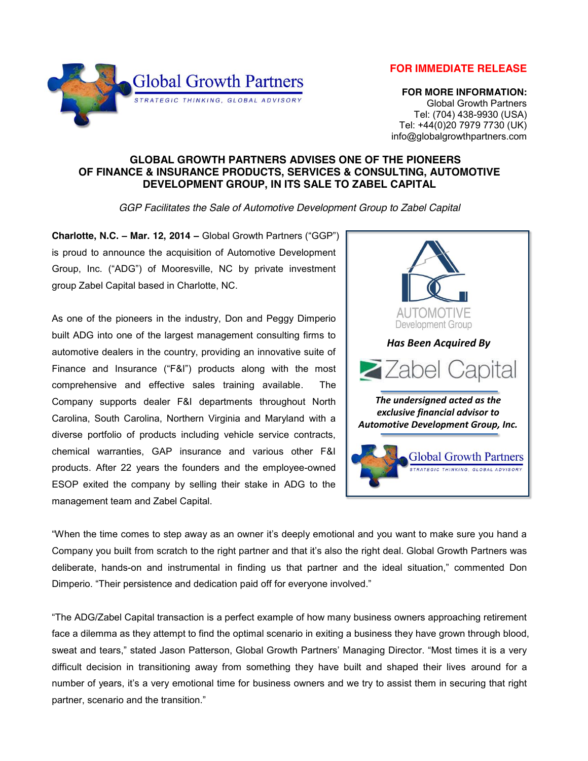**FOR IMMEDIATE RELEASE**



 **FOR MORE INFORMATION:** Global Growth Partners Tel: (704) 438-9930 (USA) Tel: +44(0)20 7979 7730 (UK) info@globalgrowthpartners.com

## **GLOBAL GROWTH PARTNERS ADVISES ONE OF THE PIONEERS OF FINANCE & INSURANCE PRODUCTS, SERVICES & CONSULTING, AUTOMOTIVE DEVELOPMENT GROUP, IN ITS SALE TO ZABEL CAPITAL**

*GGP Facilitates the Sale of Automotive Development Group to Zabel Capital*

**Charlotte, N.C. – Mar. 12, 2014 –** Global Growth Partners ("GGP") is proud to announce the acquisition of Automotive Development Group, Inc. ("ADG") of Mooresville, NC by private investment group Zabel Capital based in Charlotte, NC.

As one of the pioneers in the industry, Don and Peggy Dimperio built ADG into one of the largest management consulting firms to automotive dealers in the country, providing an innovative suite of Finance and Insurance ("F&I") products along with the most comprehensive and effective sales training available. The Company supports dealer F&I departments throughout North Carolina, South Carolina, Northern Virginia and Maryland with a diverse portfolio of products including vehicle service contracts, chemical warranties, GAP insurance and various other F&I products. After 22 years the founders and the employee-owned ESOP exited the company by selling their stake in ADG to the management team and Zabel Capital.



"When the time comes to step away as an owner it's deeply emotional and you want to make sure you hand a Company you built from scratch to the right partner and that it's also the right deal. Global Growth Partners was deliberate, hands-on and instrumental in finding us that partner and the ideal situation," commented Don Dimperio. "Their persistence and dedication paid off for everyone involved."

"The ADG/Zabel Capital transaction is a perfect example of how many business owners approaching retirement face a dilemma as they attempt to find the optimal scenario in exiting a business they have grown through blood, sweat and tears," stated Jason Patterson, Global Growth Partners' Managing Director. "Most times it is a very difficult decision in transitioning away from something they have built and shaped their lives around for a number of years, it's a very emotional time for business owners and we try to assist them in securing that right partner, scenario and the transition."